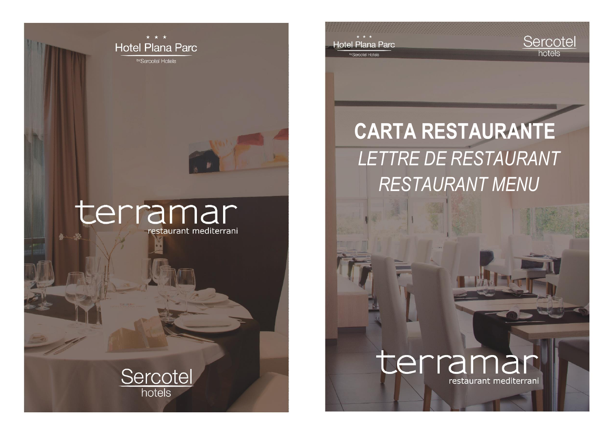

## terramar restaurant mediterrani



**CARTA RESTAURANTE** *LETTRE DE RESTAURANT RESTAURANT MENU*

Hotel Plana Parc

<sup>y</sup> Sercotel Hotels



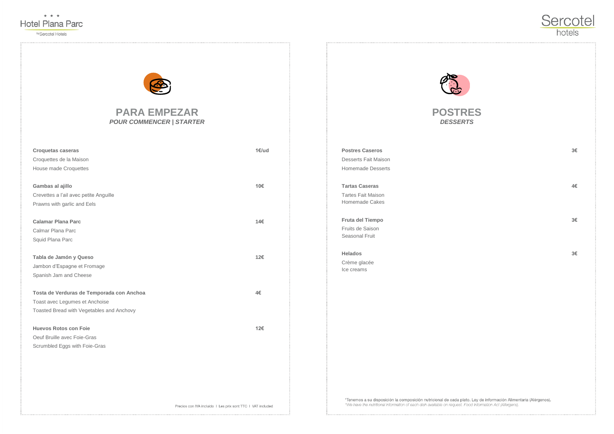

by Sercotel Hotels

## **PARA EMPEZAR** *POUR COMMENCER | STARTER*

| <b>Croquetas caseras</b>                  | 1€/ud |
|-------------------------------------------|-------|
| Croquettes de la Maison                   |       |
| <b>House made Croquettes</b>              |       |
|                                           |       |
| Gambas al ajillo                          | 10€   |
| Crevettes a l'ail avec petite Anguille    |       |
| Prawns with garlic and Eels               |       |
|                                           |       |
| <b>Calamar Plana Parc</b>                 | 14€   |
| Calmar Plana Parc                         |       |
| Squid Plana Parc                          |       |
|                                           |       |
| Tabla de Jamón y Queso                    | 12€   |
| Jambon d'Espagne et Fromage               |       |
| Spanish Jam and Cheese                    |       |
|                                           |       |
| Tosta de Verduras de Temporada con Anchoa | 4€    |
| Toast avec Legumes et Anchoise            |       |
| Toasted Bread with Vegetables and Anchovy |       |
|                                           |       |
| <b>Huevos Rotos con Foie</b>              | 12€   |
| Oeuf Bruille avec Foie-Gras               |       |



Scrumbled Eggs with Foie-Gras



**POSTRES** *DESSERTS*

**Postres Caseros 3€** Desserts Fait Maison Homemade Desserts

**Tartas Caseras 4€** Tartes Fait Maison Homemade Cakes

**Fruta del Tiempo 3€** Fruits de Saison Seasonal Fruit

**Helados 3€** Crème glacée Ice creams

\*Tenemos a su disposición la composición nutricional de cada plato. Ley de información Alimentaria (Alérgenos). \*We have the nutritional information of each dish available on request. Food Information Act (Allergens).





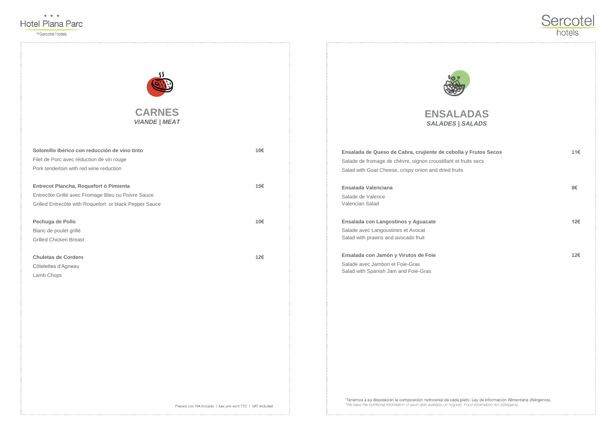

by Sercotel Hotels



| Solomillo Ibérico con reducción de vino tinto          | 10€ |
|--------------------------------------------------------|-----|
| Filet de Porc avec réduction de vin rouge              |     |
| Pork tenderloin with red wine reduction                |     |
|                                                        |     |
| Entrecot Plancha, Roquefort ó Pimienta                 | 15€ |
| Entrecôte Grillé avec Fromage Bleu ou Poivre Sauce     |     |
| Grilled Entrecôte with Roquefort or black Pepper Sauce |     |
|                                                        |     |
| Pechuga de Pollo                                       | 10€ |
| Blanc de poulet grillé                                 |     |
| <b>Grilled Chicken Breast</b>                          |     |
|                                                        |     |
| <b>Chuletas de Cordero</b>                             | 12€ |
| Côtelettes d'Agneau                                    |     |

Lamb Chops



*SALADES | SALADS*

**Ensalada de Queso de Cabra, crujiente de cebolla y Frutos Secos 11€** Salade de fromage de chèvre, oignon croustillant et fruits secs Salad with Goat Cheese, crispy onion and dried fruits

**Ensalada Valenciana 8€** Salade de Valence Valencian Salad

**Ensalada con Langostinos y Aguacate 12€** Salade avec Langoustines et Avocat Salad with prawns and avocado fruit

**Ensalada con Jamón y Virutos de Foie 12€** Salade avec Jambon et Foie-Gras Salad with Spanish Jam and Foie-Gras

\*Tenemos a su disposición la composición nutricional de cada plato. Ley de información Alimentaria (Alérgenos). \*We have the nutritional information of each dish available on request. Food Information Act (Allergens).